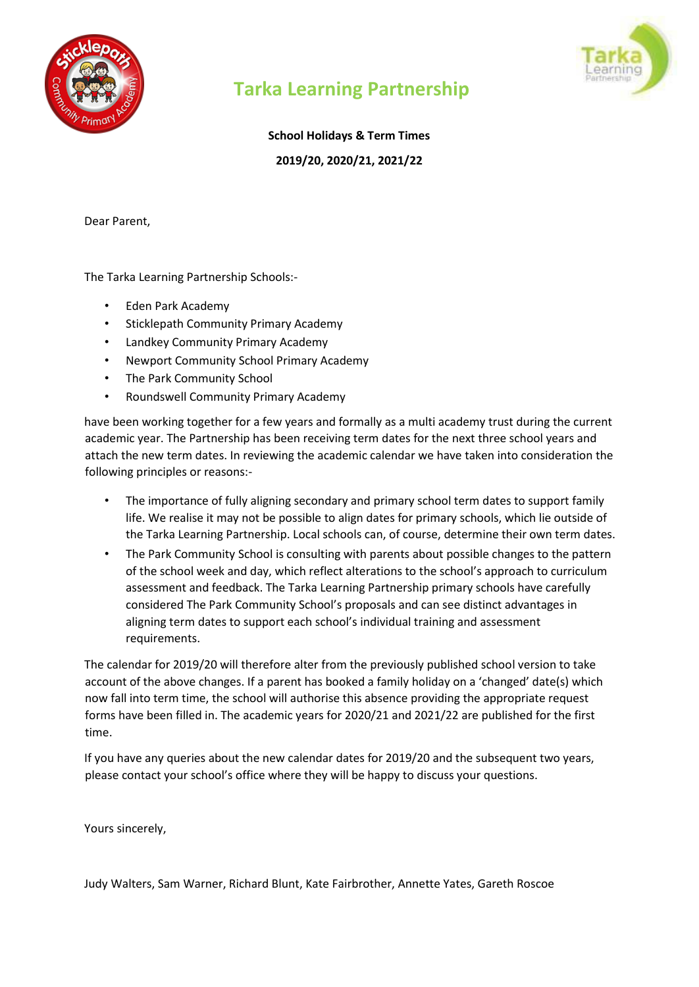



# **Tarka Learning Partnership**

**School Holidays & Term Times** 

**2019/20, 2020/21, 2021/22** 

Dear Parent,

The Tarka Learning Partnership Schools:-

- Eden Park Academy
- Sticklepath Community Primary Academy
- Landkey Community Primary Academy
- Newport Community School Primary Academy
- The Park Community School
- Roundswell Community Primary Academy

have been working together for a few years and formally as a multi academy trust during the current academic year. The Partnership has been receiving term dates for the next three school years and attach the new term dates. In reviewing the academic calendar we have taken into consideration the following principles or reasons:-

- The importance of fully aligning secondary and primary school term dates to support family life. We realise it may not be possible to align dates for primary schools, which lie outside of the Tarka Learning Partnership. Local schools can, of course, determine their own term dates.
- The Park Community School is consulting with parents about possible changes to the pattern of the school week and day, which reflect alterations to the school's approach to curriculum assessment and feedback. The Tarka Learning Partnership primary schools have carefully considered The Park Community School's proposals and can see distinct advantages in aligning term dates to support each school's individual training and assessment requirements.

The calendar for 2019/20 will therefore alter from the previously published school version to take account of the above changes. If a parent has booked a family holiday on a 'changed' date(s) which now fall into term time, the school will authorise this absence providing the appropriate request forms have been filled in. The academic years for 2020/21 and 2021/22 are published for the first time.

If you have any queries about the new calendar dates for 2019/20 and the subsequent two years, please contact your school's office where they will be happy to discuss your questions.

Yours sincerely,

Judy Walters, Sam Warner, Richard Blunt, Kate Fairbrother, Annette Yates, Gareth Roscoe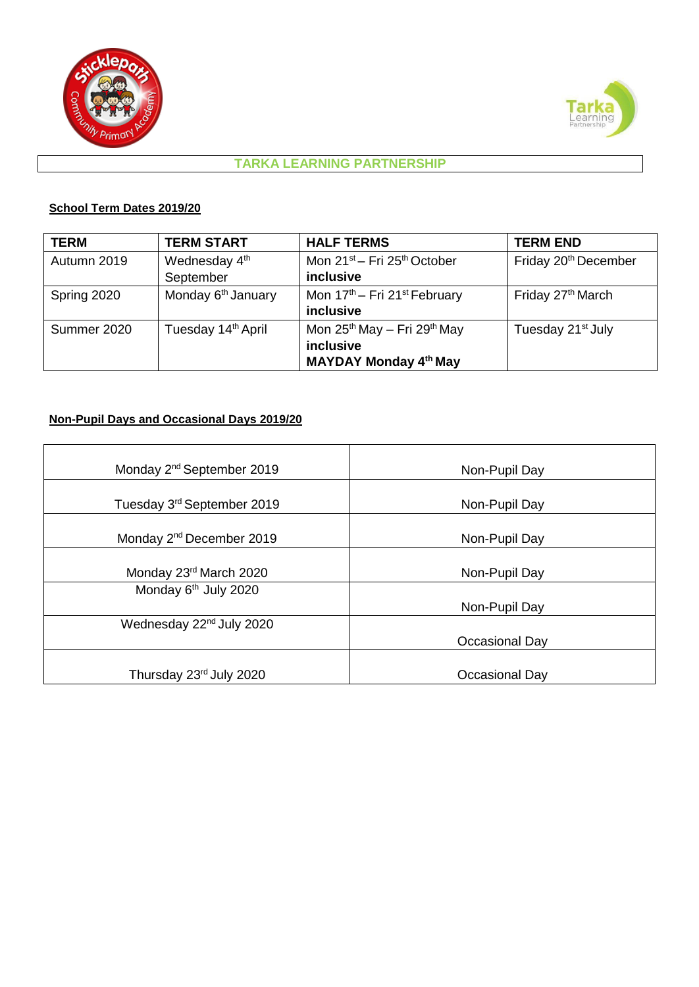



#### **TARKA LEARNING PARTNERSHIP**

#### **School Term Dates 2019/20**

| <b>TERM</b> | <b>TERM START</b>              | <b>HALF TERMS</b>                                    | <b>TERM END</b>                  |
|-------------|--------------------------------|------------------------------------------------------|----------------------------------|
| Autumn 2019 | Wednesday 4 <sup>th</sup>      | Mon 21 <sup>st</sup> – Fri 25 <sup>th</sup> October  | Friday 20 <sup>th</sup> December |
|             | September                      | inclusive                                            |                                  |
| Spring 2020 | Monday 6 <sup>th</sup> January | Mon 17 <sup>th</sup> – Fri 21 <sup>st</sup> February | Friday 27 <sup>th</sup> March    |
|             |                                | inclusive                                            |                                  |
| Summer 2020 | Tuesday 14 <sup>th</sup> April | Mon $25^{th}$ May - Fri $29^{th}$ May                | Tuesday 21 <sup>st</sup> July    |
|             |                                | inclusive                                            |                                  |
|             |                                | <b>MAYDAY Monday 4th May</b>                         |                                  |

#### **Non-Pupil Days and Occasional Days 2019/20**

| Monday 2 <sup>nd</sup> September 2019  | Non-Pupil Day  |  |
|----------------------------------------|----------------|--|
| Tuesday 3 <sup>rd</sup> September 2019 | Non-Pupil Day  |  |
| Monday 2 <sup>nd</sup> December 2019   | Non-Pupil Day  |  |
| Monday 23rd March 2020                 | Non-Pupil Day  |  |
| Monday 6 <sup>th</sup> July 2020       | Non-Pupil Day  |  |
| Wednesday 22 <sup>nd</sup> July 2020   | Occasional Day |  |
| Thursday 23rd July 2020                | Occasional Day |  |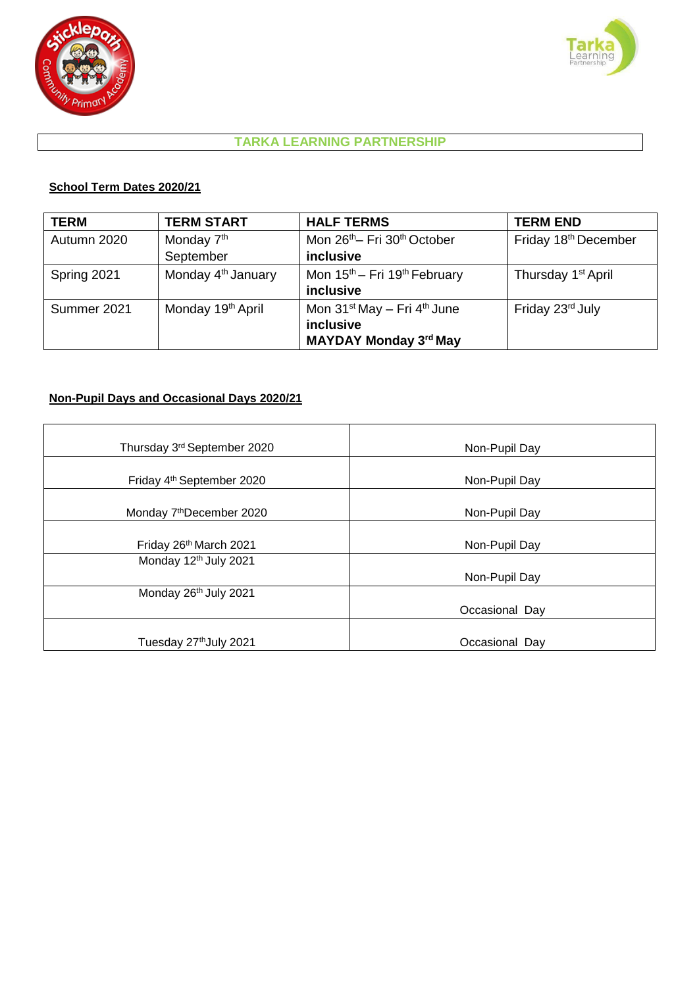



## **TARKA LEARNING PARTNERSHIP**

#### **School Term Dates 2020/21**

| <b>TERM</b> | <b>TERM START</b>              | <b>HALF TERMS</b>                                                                    | <b>TERM END</b>                |
|-------------|--------------------------------|--------------------------------------------------------------------------------------|--------------------------------|
| Autumn 2020 | Monday 7 <sup>th</sup>         | Mon 26 <sup>th</sup> - Fri 30 <sup>th</sup> October                                  | Friday 18th December           |
|             | September                      | inclusive                                                                            |                                |
| Spring 2021 | Monday 4 <sup>th</sup> January | Mon 15 <sup>th</sup> – Fri 19 <sup>th</sup> February<br>inclusive                    | Thursday 1 <sup>st</sup> April |
| Summer 2021 | Monday 19th April              | Mon $31^{st}$ May $-$ Fri $4^{th}$ June<br>inclusive<br><b>MAYDAY Monday 3rd May</b> | Friday 23rd July               |

### **Non-Pupil Days and Occasional Days 2020/21**

| Thursday 3rd September 2020           | Non-Pupil Day  |
|---------------------------------------|----------------|
| Friday 4 <sup>th</sup> September 2020 | Non-Pupil Day  |
| Monday 7 <sup>th</sup> December 2020  | Non-Pupil Day  |
| Friday 26th March 2021                | Non-Pupil Day  |
| Monday 12th July 2021                 | Non-Pupil Day  |
| Monday 26 <sup>th</sup> July 2021     | Occasional Day |
| Tuesday 27th July 2021                | Occasional Day |